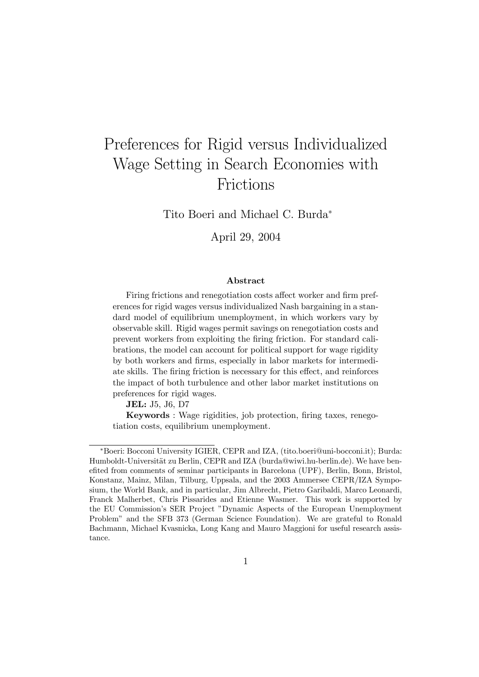# Preferences for Rigid versus Individualized Wage Setting in Search Economies with Frictions

Tito Boeri and Michael C. Burda<sup>∗</sup>

April 29, 2004

#### Abstract

Firing frictions and renegotiation costs affect worker and firm preferences for rigid wages versus individualized Nash bargaining in a standard model of equilibrium unemployment, in which workers vary by observable skill. Rigid wages permit savings on renegotiation costs and prevent workers from exploiting the firing friction. For standard calibrations, the model can account for political support for wage rigidity by both workers and firms, especially in labor markets for intermediate skills. The firing friction is necessary for this effect, and reinforces the impact of both turbulence and other labor market institutions on preferences for rigid wages.

JEL: J5, J6, D7

Keywords : Wage rigidities, job protection, firing taxes, renegotiation costs, equilibrium unemployment.

<sup>∗</sup>Boeri: Bocconi University IGIER, CEPR and IZA, (tito.boeri@uni-bocconi.it); Burda: Humboldt-Universität zu Berlin, CEPR and IZA (burda@wiwi.hu-berlin.de). We have benefited from comments of seminar participants in Barcelona (UPF), Berlin, Bonn, Bristol, Konstanz, Mainz, Milan, Tilburg, Uppsala, and the 2003 Ammersee CEPR/IZA Symposium, the World Bank, and in particular, Jim Albrecht, Pietro Garibaldi, Marco Leonardi, Franck Malherbet, Chris Pissarides and Etienne Wasmer. This work is supported by the EU Commission's SER Project "Dynamic Aspects of the European Unemployment Problem" and the SFB 373 (German Science Foundation). We are grateful to Ronald Bachmann, Michael Kvasnicka, Long Kang and Mauro Maggioni for useful research assistance.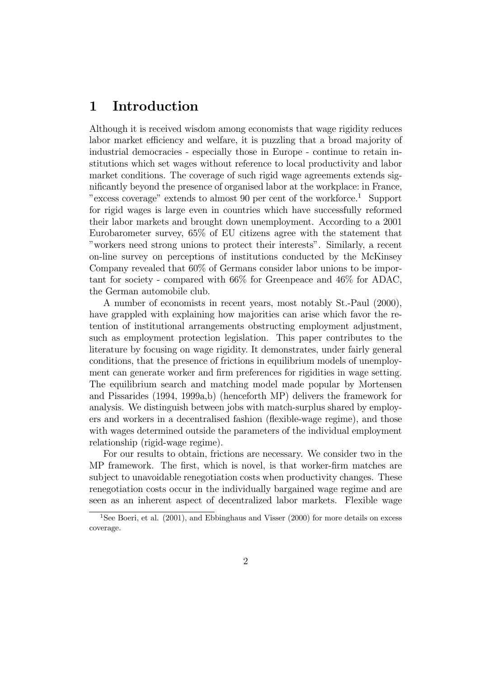## 1 Introduction

Although it is received wisdom among economists that wage rigidity reduces labor market efficiency and welfare, it is puzzling that a broad majority of industrial democracies - especially those in Europe - continue to retain institutions which set wages without reference to local productivity and labor market conditions. The coverage of such rigid wage agreements extends significantly beyond the presence of organised labor at the workplace: in France, "excess coverage" extends to almost 90 per cent of the workforce.<sup>1</sup> Support for rigid wages is large even in countries which have successfully reformed their labor markets and brought down unemployment. According to a 2001 Eurobarometer survey, 65% of EU citizens agree with the statement that "workers need strong unions to protect their interests". Similarly, a recent on-line survey on perceptions of institutions conducted by the McKinsey Company revealed that 60% of Germans consider labor unions to be important for society - compared with 66% for Greenpeace and 46% for ADAC, the German automobile club.

A number of economists in recent years, most notably St.-Paul (2000), have grappled with explaining how majorities can arise which favor the retention of institutional arrangements obstructing employment adjustment, such as employment protection legislation. This paper contributes to the literature by focusing on wage rigidity. It demonstrates, under fairly general conditions, that the presence of frictions in equilibrium models of unemployment can generate worker and firm preferences for rigidities in wage setting. The equilibrium search and matching model made popular by Mortensen and Pissarides (1994, 1999a,b) (henceforth MP) delivers the framework for analysis. We distinguish between jobs with match-surplus shared by employers and workers in a decentralised fashion (flexible-wage regime), and those with wages determined outside the parameters of the individual employment relationship (rigid-wage regime).

For our results to obtain, frictions are necessary. We consider two in the MP framework. The first, which is novel, is that worker-firm matches are subject to unavoidable renegotiation costs when productivity changes. These renegotiation costs occur in the individually bargained wage regime and are seen as an inherent aspect of decentralized labor markets. Flexible wage

<sup>&</sup>lt;sup>1</sup>See Boeri, et al. (2001), and Ebbinghaus and Visser (2000) for more details on excess coverage.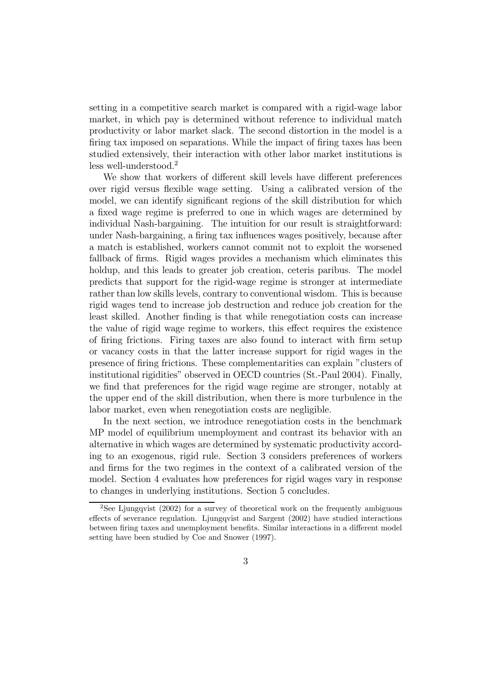setting in a competitive search market is compared with a rigid-wage labor market, in which pay is determined without reference to individual match productivity or labor market slack. The second distortion in the model is a firing tax imposed on separations. While the impact of firing taxes has been studied extensively, their interaction with other labor market institutions is less well-understood.<sup>2</sup>

We show that workers of different skill levels have different preferences over rigid versus flexible wage setting. Using a calibrated version of the model, we can identify significant regions of the skill distribution for which a fixed wage regime is preferred to one in which wages are determined by individual Nash-bargaining. The intuition for our result is straightforward: under Nash-bargaining, a firing tax influences wages positively, because after a match is established, workers cannot commit not to exploit the worsened fallback of firms. Rigid wages provides a mechanism which eliminates this holdup, and this leads to greater job creation, ceteris paribus. The model predicts that support for the rigid-wage regime is stronger at intermediate rather than low skills levels, contrary to conventional wisdom. This is because rigid wages tend to increase job destruction and reduce job creation for the least skilled. Another finding is that while renegotiation costs can increase the value of rigid wage regime to workers, this effect requires the existence of firing frictions. Firing taxes are also found to interact with firm setup or vacancy costs in that the latter increase support for rigid wages in the presence of firing frictions. These complementarities can explain "clusters of institutional rigidities" observed in OECD countries (St.-Paul 2004). Finally, we find that preferences for the rigid wage regime are stronger, notably at the upper end of the skill distribution, when there is more turbulence in the labor market, even when renegotiation costs are negligible.

In the next section, we introduce renegotiation costs in the benchmark MP model of equilibrium unemployment and contrast its behavior with an alternative in which wages are determined by systematic productivity according to an exogenous, rigid rule. Section 3 considers preferences of workers and firms for the two regimes in the context of a calibrated version of the model. Section 4 evaluates how preferences for rigid wages vary in response to changes in underlying institutions. Section 5 concludes.

<sup>&</sup>lt;sup>2</sup>See Ljungqvist (2002) for a survey of theoretical work on the frequently ambiguous effects of severance regulation. Ljungqvist and Sargent (2002) have studied interactions between firing taxes and unemployment benefits. Similar interactions in a different model setting have been studied by Coe and Snower (1997).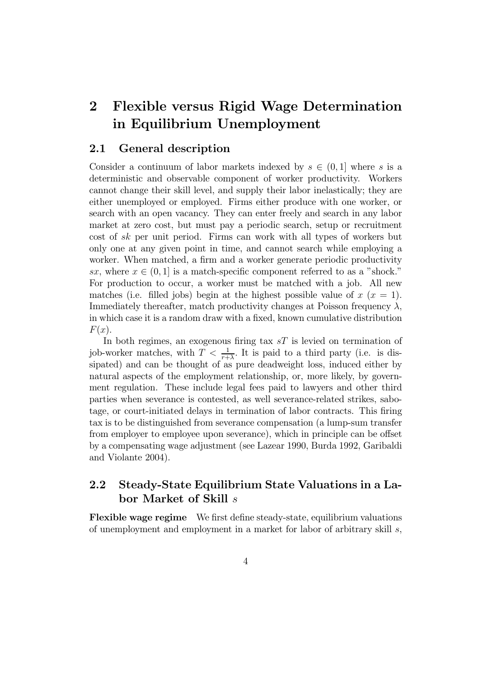## 2 Flexible versus Rigid Wage Determination in Equilibrium Unemployment

#### 2.1 General description

Consider a continuum of labor markets indexed by  $s \in (0,1]$  where s is a deterministic and observable component of worker productivity. Workers cannot change their skill level, and supply their labor inelastically; they are either unemployed or employed. Firms either produce with one worker, or search with an open vacancy. They can enter freely and search in any labor market at zero cost, but must pay a periodic search, setup or recruitment cost of sk per unit period. Firms can work with all types of workers but only one at any given point in time, and cannot search while employing a worker. When matched, a firm and a worker generate periodic productivity sx, where  $x \in (0,1]$  is a match-specific component referred to as a "shock." For production to occur, a worker must be matched with a job. All new matches (i.e. filled jobs) begin at the highest possible value of  $x(x = 1)$ . Immediately thereafter, match productivity changes at Poisson frequency  $\lambda$ , in which case it is a random draw with a fixed, known cumulative distribution  $F(x)$ .

In both regimes, an exogenous firing tax  $sT$  is levied on termination of job-worker matches, with  $T < \frac{1}{r+\lambda}$ . It is paid to a third party (i.e. is dissipated) and can be thought of as pure deadweight loss, induced either by natural aspects of the employment relationship, or, more likely, by government regulation. These include legal fees paid to lawyers and other third parties when severance is contested, as well severance-related strikes, sabotage, or court-initiated delays in termination of labor contracts. This firing tax is to be distinguished from severance compensation (a lump-sum transfer from employer to employee upon severance), which in principle can be offset by a compensating wage adjustment (see Lazear 1990, Burda 1992, Garibaldi and Violante 2004).

### 2.2 Steady-State Equilibrium State Valuations in a Labor Market of Skill s

Flexible wage regime We first define steady-state, equilibrium valuations of unemployment and employment in a market for labor of arbitrary skill s,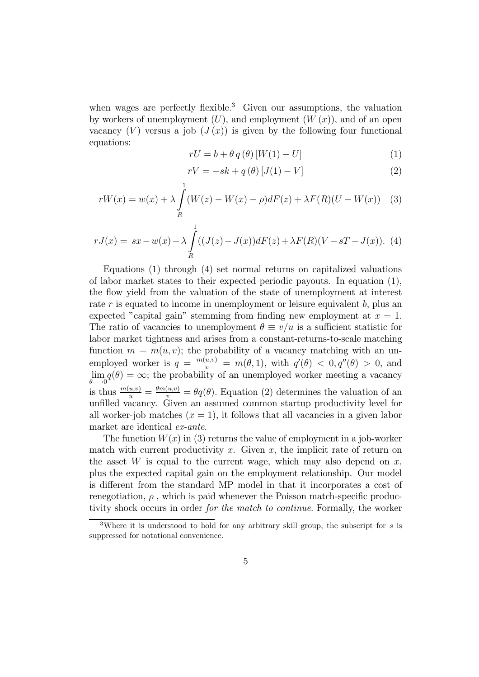when wages are perfectly flexible.<sup>3</sup> Given our assumptions, the valuation by workers of unemployment  $(U)$ , and employment  $(W(x))$ , and of an open vacancy  $(V)$  versus a job  $(J(x))$  is given by the following four functional equations:

$$
rU = b + \theta q(\theta) [W(1) - U]
$$
 (1)

$$
rV = -sk + q(\theta) [J(1) - V]
$$
 (2)

$$
rW(x) = w(x) + \lambda \int_{R}^{1} (W(z) - W(x) - \rho) dF(z) + \lambda F(R)(U - W(x)) \quad (3)
$$

$$
rJ(x) = sx - w(x) + \lambda \int_{R}^{1} ((J(z) - J(x))dF(z) + \lambda F(R)(V - sT - J(x)).
$$
 (4)

Equations (1) through (4) set normal returns on capitalized valuations of labor market states to their expected periodic payouts. In equation (1), the flow yield from the valuation of the state of unemployment at interest rate  $r$  is equated to income in unemployment or leisure equivalent  $b$ , plus an expected "capital gain" stemming from finding new employment at  $x = 1$ . The ratio of vacancies to unemployment  $\theta \equiv v/u$  is a sufficient statistic for labor market tightness and arises from a constant-returns-to-scale matching function  $m = m(u, v)$ ; the probability of a vacancy matching with an unemployed worker is  $q = \frac{m(u,v)}{v} = m(\theta,1)$ , with  $q'(\theta) < 0, q''(\theta) > 0$ , and lim  $\lim_{\theta \to 0} q(\theta) = \infty$ ; the probability of an unemployed worker meeting a vacancy is thus  $\frac{m(u,v)}{u} = \frac{\theta m(u,v)}{v} = \theta q(\theta)$ . Equation (2) determines the valuation of an unfilled vacancy. Given an assumed common startup productivity level for all worker-job matches  $(x = 1)$ , it follows that all vacancies in a given labor market are identical ex-ante.

The function  $W(x)$  in (3) returns the value of employment in a job-worker match with current productivity x. Given x, the implicit rate of return on the asset  $W$  is equal to the current wage, which may also depend on  $x$ , plus the expected capital gain on the employment relationship. Our model is different from the standard MP model in that it incorporates a cost of renegotiation,  $\rho$ , which is paid whenever the Poisson match-specific productivity shock occurs in order for the match to continue. Formally, the worker

<sup>&</sup>lt;sup>3</sup>Where it is understood to hold for any arbitrary skill group, the subscript for s is suppressed for notational convenience.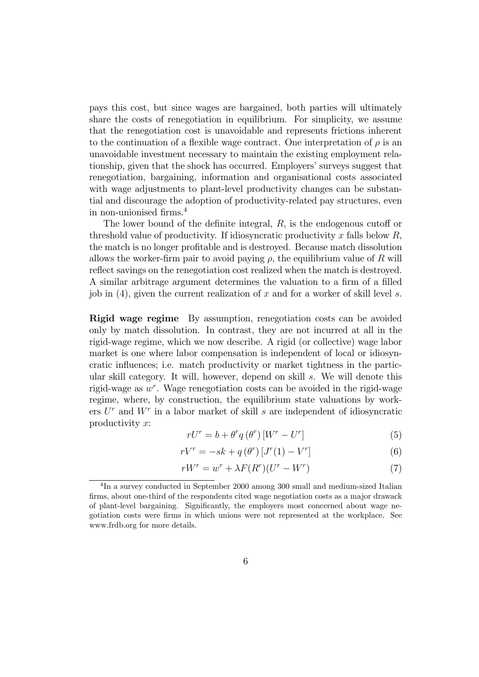pays this cost, but since wages are bargained, both parties will ultimately share the costs of renegotiation in equilibrium. For simplicity, we assume that the renegotiation cost is unavoidable and represents frictions inherent to the continuation of a flexible wage contract. One interpretation of  $\rho$  is an unavoidable investment necessary to maintain the existing employment relationship, given that the shock has occurred. Employers' surveys suggest that renegotiation, bargaining, information and organisational costs associated with wage adjustments to plant-level productivity changes can be substantial and discourage the adoption of productivity-related pay structures, even in non-unionised firms.<sup>4</sup>

The lower bound of the definite integral, R, is the endogenous cutoff or threshold value of productivity. If idiosyncratic productivity x falls below  $R$ , the match is no longer profitable and is destroyed. Because match dissolution allows the worker-firm pair to avoid paying  $\rho$ , the equilibrium value of R will reflect savings on the renegotiation cost realized when the match is destroyed. A similar arbitrage argument determines the valuation to a firm of a filled job in  $(4)$ , given the current realization of x and for a worker of skill level s.

Rigid wage regime By assumption, renegotiation costs can be avoided only by match dissolution. In contrast, they are not incurred at all in the rigid-wage regime, which we now describe. A rigid (or collective) wage labor market is one where labor compensation is independent of local or idiosyncratic influences; i.e. match productivity or market tightness in the particular skill category. It will, however, depend on skill s. We will denote this rigid-wage as  $w^r$ . Wage renegotiation costs can be avoided in the rigid-wage regime, where, by construction, the equilibrium state valuations by workers  $U<sup>r</sup>$  and  $W<sup>r</sup>$  in a labor market of skill s are independent of idiosyncratic productivity  $x$ :

$$
rU^{r} = b + \theta^{r} q\left(\theta^{r}\right) \left[W^{r} - U^{r}\right] \tag{5}
$$

$$
rV^{r} = -sk + q\left(\theta^{r}\right)\left[J^{r}(1) - V^{r}\right]
$$
\n<sup>(6)</sup>

$$
rW^{r} = w^{r} + \lambda F(R^{r})(U^{r} - W^{r})
$$
\n<sup>(7)</sup>

<sup>&</sup>lt;sup>4</sup>In a survey conducted in September 2000 among 300 small and medium-sized Italian firms, about one-third of the respondents cited wage negotiation costs as a major drawack of plant-level bargaining. Significantly, the employers most concerned about wage negotiation costs were firms in which unions were not represented at the workplace. See www.frdb.org for more details.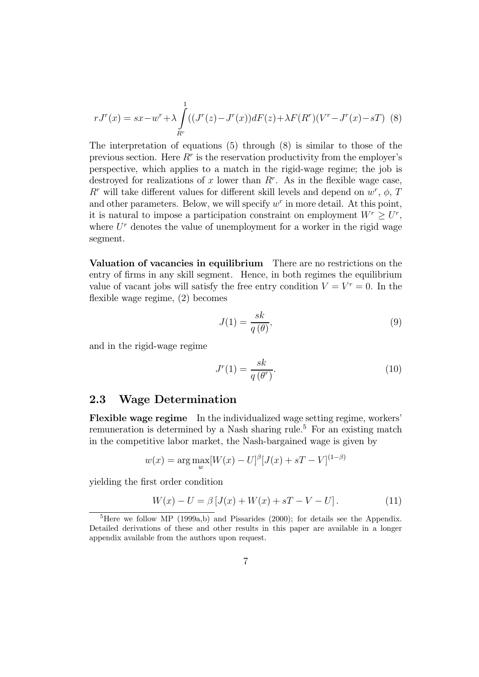$$
rJ^{r}(x) = sx - w^{r} + \lambda \int_{R^{r}}^{1} ((J^{r}(z) - J^{r}(x))dF(z) + \lambda F(R^{r})(V^{r} - J^{r}(x) - sT) \tag{8}
$$

The interpretation of equations (5) through (8) is similar to those of the previous section. Here  $R^r$  is the reservation productivity from the employer's perspective, which applies to a match in the rigid-wage regime; the job is destroyed for realizations of x lower than  $R^r$ . As in the flexible wage case,  $R^r$  will take different values for different skill levels and depend on  $w^r$ ,  $\phi$ , T and other parameters. Below, we will specify  $w<sup>r</sup>$  in more detail. At this point, it is natural to impose a participation constraint on employment  $W^r \geq U^r$ , where  $U^r$  denotes the value of unemployment for a worker in the rigid wage segment.

Valuation of vacancies in equilibrium There are no restrictions on the entry of firms in any skill segment. Hence, in both regimes the equilibrium value of vacant jobs will satisfy the free entry condition  $V = V^r = 0$ . In the flexible wage regime, (2) becomes

$$
J(1) = \frac{sk}{q(\theta)},\tag{9}
$$

and in the rigid-wage regime

$$
J^r(1) = \frac{sk}{q(\theta^r)}.\tag{10}
$$

#### 2.3 Wage Determination

Flexible wage regime In the individualized wage setting regime, workers' remuneration is determined by a Nash sharing rule.<sup>5</sup> For an existing match in the competitive labor market, the Nash-bargained wage is given by

$$
w(x) = \arg\max_{w} [W(x) - U]^{\beta} [J(x) + sT - V]^{(1-\beta)}
$$

yielding the first order condition

$$
W(x) - U = \beta [J(x) + W(x) + sT - V - U].
$$
 (11)

<sup>&</sup>lt;sup>5</sup>Here we follow MP (1999a,b) and Pissarides (2000); for details see the Appendix. Detailed derivations of these and other results in this paper are available in a longer appendix available from the authors upon request.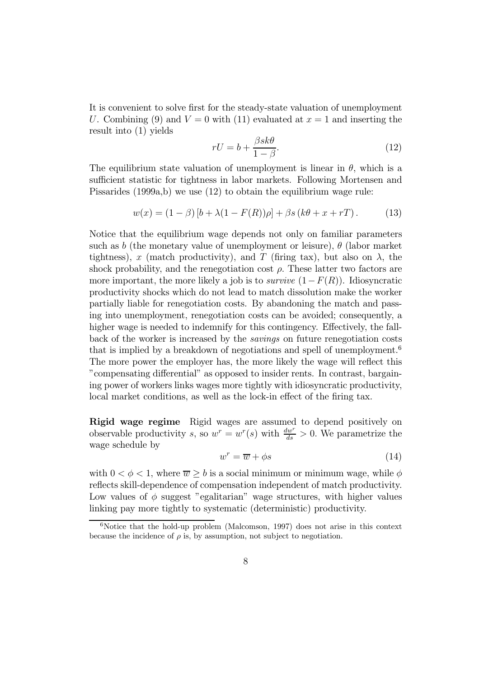It is convenient to solve first for the steady-state valuation of unemployment U. Combining (9) and  $V = 0$  with (11) evaluated at  $x = 1$  and inserting the result into (1) yields

$$
rU = b + \frac{\beta sk\theta}{1 - \beta}.\tag{12}
$$

The equilibrium state valuation of unemployment is linear in  $\theta$ , which is a sufficient statistic for tightness in labor markets. Following Mortensen and Pissarides (1999a,b) we use (12) to obtain the equilibrium wage rule:

$$
w(x) = (1 - \beta) [b + \lambda (1 - F(R))\rho] + \beta s (k\theta + x + rT).
$$
 (13)

Notice that the equilibrium wage depends not only on familiar parameters such as b (the monetary value of unemployment or leisure),  $\theta$  (labor market tightness), x (match productivity), and T (firing tax), but also on  $\lambda$ , the shock probability, and the renegotiation cost  $\rho$ . These latter two factors are more important, the more likely a job is to *survive*  $(1-F(R))$ . Idiosyncratic productivity shocks which do not lead to match dissolution make the worker partially liable for renegotiation costs. By abandoning the match and passing into unemployment, renegotiation costs can be avoided; consequently, a higher wage is needed to indemnify for this contingency. Effectively, the fallback of the worker is increased by the savings on future renegotiation costs that is implied by a breakdown of negotiations and spell of unemployment.<sup>6</sup> The more power the employer has, the more likely the wage will reflect this "compensating differential" as opposed to insider rents. In contrast, bargaining power of workers links wages more tightly with idiosyncratic productivity, local market conditions, as well as the lock-in effect of the firing tax.

Rigid wage regime Rigid wages are assumed to depend positively on observable productivity s, so  $w^r = w^r(s)$  with  $\frac{dw^r}{ds} > 0$ . We parametrize the wage schedule by

$$
w^r = \overline{w} + \phi s \tag{14}
$$

with  $0 < \phi < 1$ , where  $\overline{w} > b$  is a social minimum or minimum wage, while  $\phi$ reflects skill-dependence of compensation independent of match productivity. Low values of  $\phi$  suggest "egalitarian" wage structures, with higher values linking pay more tightly to systematic (deterministic) productivity.

 $6$ Notice that the hold-up problem (Malcomson, 1997) does not arise in this context because the incidence of  $\rho$  is, by assumption, not subject to negotiation.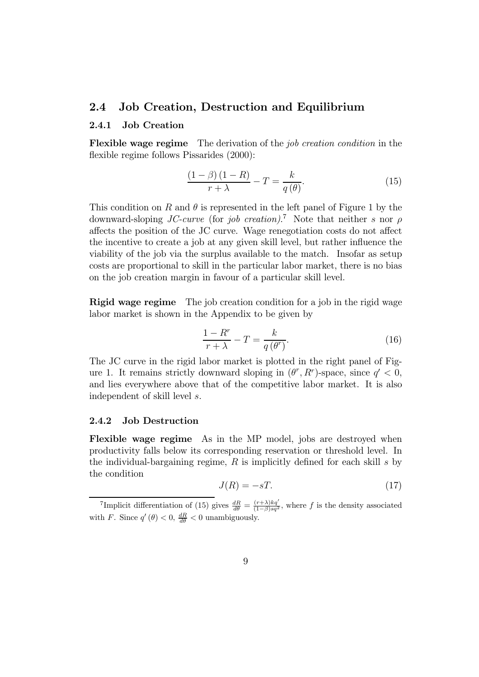#### 2.4 Job Creation, Destruction and Equilibrium

#### 2.4.1 Job Creation

Flexible wage regime The derivation of the job creation condition in the flexible regime follows Pissarides (2000):

$$
\frac{(1-\beta)(1-R)}{r+\lambda} - T = \frac{k}{q(\theta)}.
$$
\n(15)

This condition on R and  $\theta$  is represented in the left panel of Figure 1 by the downward-sloping JC-curve (for job creation).<sup>7</sup> Note that neither s nor  $\rho$ affects the position of the JC curve. Wage renegotiation costs do not affect the incentive to create a job at any given skill level, but rather influence the viability of the job via the surplus available to the match. Insofar as setup costs are proportional to skill in the particular labor market, there is no bias on the job creation margin in favour of a particular skill level.

Rigid wage regime The job creation condition for a job in the rigid wage labor market is shown in the Appendix to be given by

$$
\frac{1 - R^r}{r + \lambda} - T = \frac{k}{q(\theta^r)}.
$$
\n(16)

The JC curve in the rigid labor market is plotted in the right panel of Figure 1. It remains strictly downward sloping in  $(\theta^r, R^r)$ -space, since  $q' < 0$ , and lies everywhere above that of the competitive labor market. It is also independent of skill level s.

#### 2.4.2 Job Destruction

Flexible wage regime As in the MP model, jobs are destroyed when productivity falls below its corresponding reservation or threshold level. In the individual-bargaining regime,  $R$  is implicitly defined for each skill s by the condition

$$
J(R) = -sT.\t(17)
$$

<sup>&</sup>lt;sup>7</sup>Implicit differentiation of (15) gives  $\frac{dR}{d\theta} = \frac{(r+\lambda)kq'}{(1-\beta)sq^2}$ , where f is the density associated with F. Since  $q'(\theta) < 0$ ,  $\frac{dR}{d\theta} < 0$  unambiguously.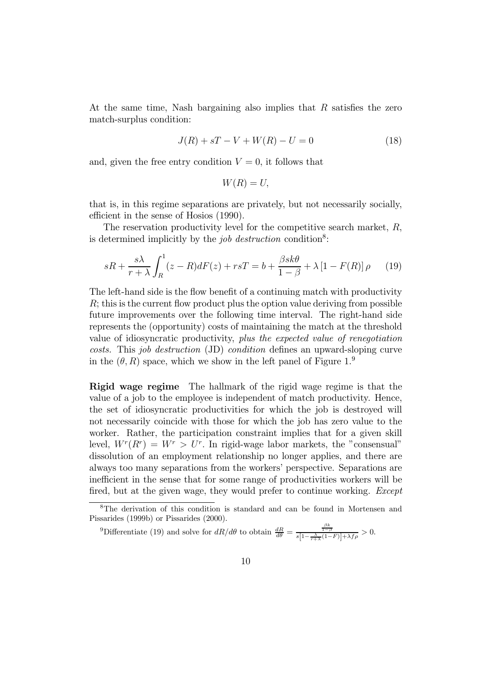At the same time, Nash bargaining also implies that R satisfies the zero match-surplus condition:

$$
J(R) + sT - V + W(R) - U = 0 \tag{18}
$$

and, given the free entry condition  $V = 0$ , it follows that

$$
W(R) = U,
$$

that is, in this regime separations are privately, but not necessarily socially, efficient in the sense of Hosios (1990).

The reservation productivity level for the competitive search market, R, is determined implicitly by the *job destruction* condition<sup>8</sup>:

$$
sR + \frac{s\lambda}{r+\lambda} \int_{R}^{1} (z-R)dF(z) + rsT = b + \frac{\beta sk\theta}{1-\beta} + \lambda \left[1 - F(R)\right]\rho \tag{19}
$$

The left-hand side is the flow benefit of a continuing match with productivity  $R$ ; this is the current flow product plus the option value deriving from possible future improvements over the following time interval. The right-hand side represents the (opportunity) costs of maintaining the match at the threshold value of idiosyncratic productivity, plus the expected value of renegotiation costs. This job destruction (JD) condition defines an upward-sloping curve in the  $(\theta, R)$  space, which we show in the left panel of Figure 1.<sup>9</sup>

Rigid wage regime The hallmark of the rigid wage regime is that the value of a job to the employee is independent of match productivity. Hence, the set of idiosyncratic productivities for which the job is destroyed will not necessarily coincide with those for which the job has zero value to the worker. Rather, the participation constraint implies that for a given skill level,  $W^{r}(R^{r}) = W^{r} > U^{r}$ . In rigid-wage labor markets, the "consensual" dissolution of an employment relationship no longer applies, and there are always too many separations from the workers' perspective. Separations are inefficient in the sense that for some range of productivities workers will be fired, but at the given wage, they would prefer to continue working. *Except* 

<sup>8</sup>The derivation of this condition is standard and can be found in Mortensen and Pissarides (1999b) or Pissarides (2000).

<sup>&</sup>lt;sup>9</sup>Differentiate (19) and solve for  $dR/d\theta$  to obtain  $\frac{dR}{d\theta} = \frac{\frac{\beta k}{1-\beta}}{s\left[1-\frac{\lambda}{r+\lambda}(1-F)\right]+\lambda f\rho} > 0.$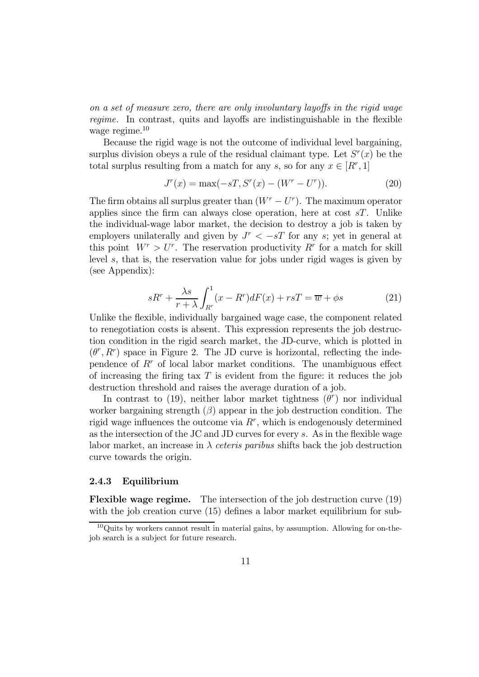on a set of measure zero, there are only involuntary layoffs in the rigid wage regime. In contrast, quits and layoffs are indistinguishable in the flexible wage regime.<sup>10</sup>

Because the rigid wage is not the outcome of individual level bargaining, surplus division obeys a rule of the residual claimant type. Let  $S<sup>r</sup>(x)$  be the total surplus resulting from a match for any s, so for any  $x \in [R^r, 1]$ 

$$
J^{r}(x) = \max(-sT, S^{r}(x) - (W^{r} - U^{r})).
$$
\n(20)

The firm obtains all surplus greater than  $(W<sup>r</sup> - U<sup>r</sup>)$ . The maximum operator applies since the firm can always close operation, here at cost  $sT$ . Unlike the individual-wage labor market, the decision to destroy a job is taken by employers unilaterally and given by  $J^r < -sT$  for any s; yet in general at this point  $W^r > U^r$ . The reservation productivity  $R^r$  for a match for skill level s, that is, the reservation value for jobs under rigid wages is given by (see Appendix):

$$
sR^r + \frac{\lambda s}{r + \lambda} \int_{R^r}^1 (x - R^r) dF(x) + rsT = \overline{w} + \phi s \tag{21}
$$

Unlike the flexible, individually bargained wage case, the component related to renegotiation costs is absent. This expression represents the job destruction condition in the rigid search market, the JD-curve, which is plotted in  $(\theta^r, R^r)$  space in Figure 2. The JD curve is horizontal, reflecting the independence of  $R<sup>r</sup>$  of local labor market conditions. The unambiguous effect of increasing the firing tax  $T$  is evident from the figure: it reduces the job destruction threshold and raises the average duration of a job.

In contrast to (19), neither labor market tightness  $(\theta^r)$  nor individual worker bargaining strength  $(\beta)$  appear in the job destruction condition. The rigid wage influences the outcome via  $R<sup>r</sup>$ , which is endogenously determined as the intersection of the JC and JD curves for every s. As in the flexible wage labor market, an increase in  $\lambda$  ceteris paribus shifts back the job destruction curve towards the origin.

#### 2.4.3 Equilibrium

Flexible wage regime. The intersection of the job destruction curve (19) with the job creation curve (15) defines a labor market equilibrium for sub-

<sup>10</sup>Quits by workers cannot result in material gains, by assumption. Allowing for on-thejob search is a subject for future research.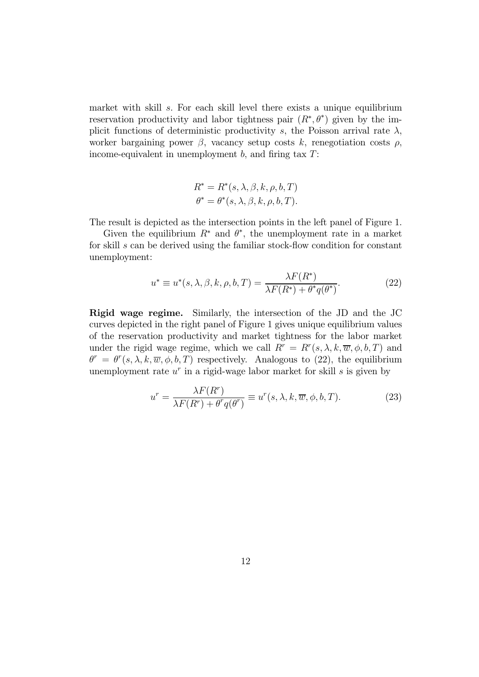market with skill s. For each skill level there exists a unique equilibrium reservation productivity and labor tightness pair  $(R^*, \theta^*)$  given by the implicit functions of deterministic productivity s, the Poisson arrival rate  $\lambda$ , worker bargaining power  $\beta$ , vacancy setup costs k, renegotiation costs  $\rho$ , income-equivalent in unemployment  $b$ , and firing tax  $T$ :

$$
R^* = R^*(s, \lambda, \beta, k, \rho, b, T)
$$
  

$$
\theta^* = \theta^*(s, \lambda, \beta, k, \rho, b, T).
$$

The result is depicted as the intersection points in the left panel of Figure 1.

Given the equilibrium  $R^*$  and  $\theta^*$ , the unemployment rate in a market for skill s can be derived using the familiar stock-flow condition for constant unemployment:

$$
u^* \equiv u^*(s, \lambda, \beta, k, \rho, b, T) = \frac{\lambda F(R^*)}{\lambda F(R^*) + \theta^* q(\theta^*)}.
$$
 (22)

Rigid wage regime. Similarly, the intersection of the JD and the JC curves depicted in the right panel of Figure 1 gives unique equilibrium values of the reservation productivity and market tightness for the labor market under the rigid wage regime, which we call  $R^r = R^r(s, \lambda, k, \overline{w}, \phi, b, T)$  and  $\theta^r = \theta^r(s, \lambda, k, \overline{w}, \phi, b, T)$  respectively. Analogous to (22), the equilibrium unemployment rate  $u^r$  in a rigid-wage labor market for skill s is given by

$$
u^r = \frac{\lambda F(R^r)}{\lambda F(R^r) + \theta^r q(\theta^r)} \equiv u^r(s, \lambda, k, \overline{w}, \phi, b, T). \tag{23}
$$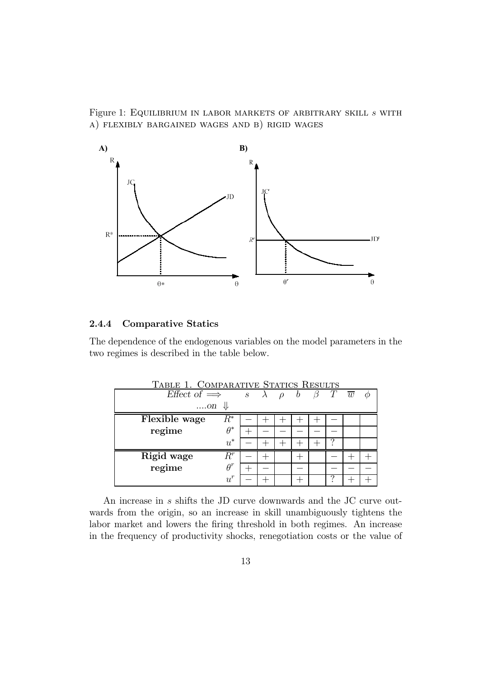Figure 1: EQUILIBRIUM IN LABOR MARKETS OF ARBITRARY SKILL  $s$  WITH a) flexibly bargained wages and b) rigid wages



#### 2.4.4 Comparative Statics

The dependence of the endogenous variables on the model parameters in the two regimes is described in the table below.

| TABLE 1. COMPARATIVE STATICS RESULTS |            |  |  |        |   |         |                        |  |
|--------------------------------------|------------|--|--|--------|---|---------|------------------------|--|
| Effect of $\implies$ s $\lambda$     |            |  |  | $\rho$ | b | $\beta$ | $T \quad \overline{w}$ |  |
| $\dots$ on $\Downarrow$              |            |  |  |        |   |         |                        |  |
| Flexible wage                        | $R^*$      |  |  |        |   |         |                        |  |
| regime                               | $\theta^*$ |  |  |        |   |         |                        |  |
|                                      | $u^*$      |  |  |        |   |         |                        |  |
| Rigid wage                           | $R^r$      |  |  |        |   |         |                        |  |
| regime                               | $\theta^r$ |  |  |        |   |         |                        |  |
|                                      | $u^{r}$    |  |  |        |   |         |                        |  |

An increase in s shifts the JD curve downwards and the JC curve outwards from the origin, so an increase in skill unambiguously tightens the labor market and lowers the firing threshold in both regimes. An increase in the frequency of productivity shocks, renegotiation costs or the value of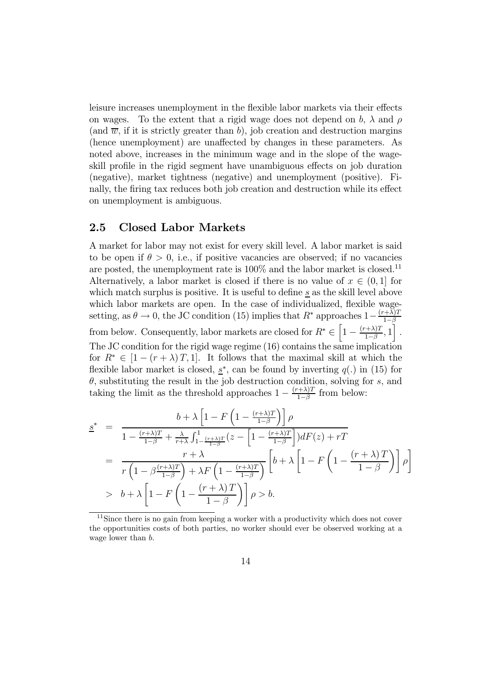leisure increases unemployment in the flexible labor markets via their effects on wages. To the extent that a rigid wage does not depend on b,  $\lambda$  and  $\rho$ (and  $\overline{w}$ , if it is strictly greater than b), job creation and destruction margins (hence unemployment) are unaffected by changes in these parameters. As noted above, increases in the minimum wage and in the slope of the wageskill profile in the rigid segment have unambiguous effects on job duration (negative), market tightness (negative) and unemployment (positive). Finally, the firing tax reduces both job creation and destruction while its effect on unemployment is ambiguous.

#### 2.5 Closed Labor Markets

A market for labor may not exist for every skill level. A labor market is said to be open if  $\theta > 0$ , i.e., if positive vacancies are observed; if no vacancies are posted, the unemployment rate is  $100\%$  and the labor market is closed.<sup>11</sup> Alternatively, a labor market is closed if there is no value of  $x \in (0,1]$  for which match surplus is positive. It is useful to define  $s$  as the skill level above which labor markets are open. In the case of individualized, flexible wagesetting, as  $\theta \to 0$ , the JC condition (15) implies that  $R^*$  approaches  $1-\frac{(r+\lambda)T}{1-\beta}$ from below. Consequently, labor markets are closed for  $R^* \in \left[1 - \frac{(r+\lambda)T}{1-\beta}, 1\right]$ . The JC condition for the rigid wage regime (16) contains the same implication for  $R^* \in [1 - (r + \lambda)T, 1]$ . It follows that the maximal skill at which the flexible labor market is closed,  $s^*$ , can be found by inverting  $q(.)$  in (15) for  $\theta$ , substituting the result in the job destruction condition, solving for s, and taking the limit as the threshold approaches  $1 - \frac{(r+\lambda)T}{1-\beta}$  from below:

$$
\underline{s}^* = \frac{b + \lambda \left[1 - F\left(1 - \frac{(r+\lambda)T}{1-\beta}\right)\right] \rho}{1 - \frac{(r+\lambda)T}{1-\beta} + \frac{\lambda}{r+\lambda} \int_{1 - \frac{(r+\lambda)T}{1-\beta}}^1 (z - \left[1 - \frac{(r+\lambda)T}{1-\beta}\right] dF(z) + rT}
$$
\n
$$
= \frac{r+\lambda}{r\left(1 - \beta \frac{(r+\lambda)T}{1-\beta}\right) + \lambda F\left(1 - \frac{(r+\lambda)T}{1-\beta}\right)} \left[b + \lambda \left[1 - F\left(1 - \frac{(r+\lambda)T}{1-\beta}\right)\right] \rho\right]
$$
\n
$$
> b + \lambda \left[1 - F\left(1 - \frac{(r+\lambda)T}{1-\beta}\right)\right] \rho > b.
$$

<sup>&</sup>lt;sup>11</sup>Since there is no gain from keeping a worker with a productivity which does not cover the opportunities costs of both parties, no worker should ever be observed working at a wage lower than b.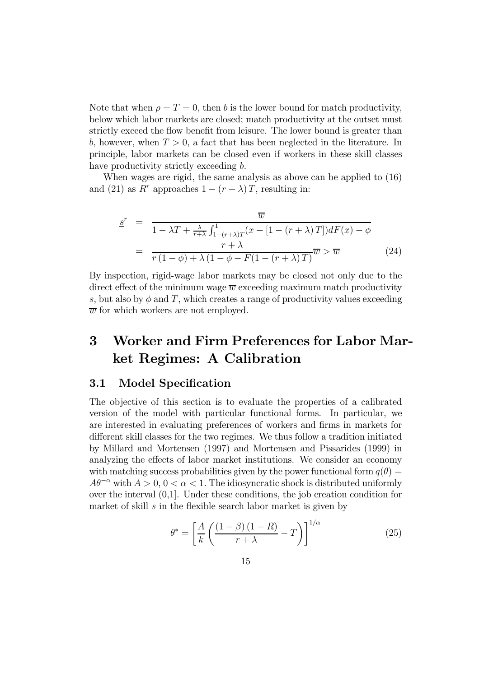Note that when  $\rho = T = 0$ , then b is the lower bound for match productivity, below which labor markets are closed; match productivity at the outset must strictly exceed the flow benefit from leisure. The lower bound is greater than b, however, when  $T > 0$ , a fact that has been neglected in the literature. In principle, labor markets can be closed even if workers in these skill classes have productivity strictly exceeding b.

When wages are rigid, the same analysis as above can be applied to (16) and (21) as R<sup>r</sup> approaches  $1 - (r + \lambda)T$ , resulting in:

$$
\underline{s}^r = \frac{\overline{w}}{1 - \lambda T + \frac{\lambda}{r + \lambda} \int_{1 - (r + \lambda)T}^1 (x - [1 - (r + \lambda)T]) dF(x) - \phi}
$$

$$
= \frac{r + \lambda}{r(1 - \phi) + \lambda (1 - \phi - F(1 - (r + \lambda)T))} \overline{w} > \overline{w}
$$
(24)

By inspection, rigid-wage labor markets may be closed not only due to the direct effect of the minimum wage  $\overline{w}$  exceeding maximum match productivity s, but also by  $\phi$  and T, which creates a range of productivity values exceeding  $\overline{w}$  for which workers are not employed.

## 3 Worker and Firm Preferences for Labor Market Regimes: A Calibration

#### 3.1 Model Specification

The objective of this section is to evaluate the properties of a calibrated version of the model with particular functional forms. In particular, we are interested in evaluating preferences of workers and firms in markets for different skill classes for the two regimes. We thus follow a tradition initiated by Millard and Mortensen (1997) and Mortensen and Pissarides (1999) in analyzing the effects of labor market institutions. We consider an economy with matching success probabilities given by the power functional form  $q(\theta)$  =  $A\theta^{-\alpha}$  with  $A > 0, 0 < \alpha < 1$ . The idiosyncratic shock is distributed uniformly over the interval (0,1]. Under these conditions, the job creation condition for market of skill  $s$  in the flexible search labor market is given by

$$
\theta^* = \left[ \frac{A}{k} \left( \frac{\left(1 - \beta\right)\left(1 - R\right)}{r + \lambda} - T \right) \right]^{1/\alpha} \tag{25}
$$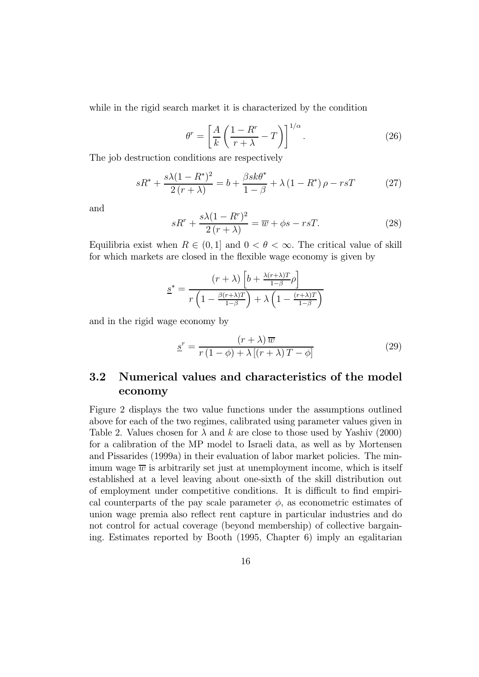while in the rigid search market it is characterized by the condition

$$
\theta^r = \left[\frac{A}{k}\left(\frac{1-R^r}{r+\lambda} - T\right)\right]^{1/\alpha}.\tag{26}
$$

The job destruction conditions are respectively

$$
sR^* + \frac{s\lambda(1 - R^*)^2}{2(r + \lambda)} = b + \frac{\beta sk\theta^*}{1 - \beta} + \lambda (1 - R^*) \rho - rsT
$$
 (27)

and

$$
sR^r + \frac{s\lambda(1 - R^r)^2}{2(r + \lambda)} = \overline{w} + \phi s - rsT.
$$
 (28)

Equilibria exist when  $R \in (0, 1]$  and  $0 < \theta < \infty$ . The critical value of skill for which markets are closed in the flexible wage economy is given by

$$
\underline{s}^* = \frac{(r+\lambda)\left[b + \frac{\lambda(r+\lambda)T}{1-\beta}\rho\right]}{r\left(1 - \frac{\beta(r+\lambda)T}{1-\beta}\right) + \lambda\left(1 - \frac{(r+\lambda)T}{1-\beta}\right)}
$$

and in the rigid wage economy by

$$
\underline{s}^r = \frac{(r+\lambda)\,\overline{w}}{r\,(1-\phi)+\lambda\,[(r+\lambda)\,T-\phi]}
$$
\n(29)

## 3.2 Numerical values and characteristics of the model economy

Figure 2 displays the two value functions under the assumptions outlined above for each of the two regimes, calibrated using parameter values given in Table 2. Values chosen for  $\lambda$  and k are close to those used by Yashiv (2000) for a calibration of the MP model to Israeli data, as well as by Mortensen and Pissarides (1999a) in their evaluation of labor market policies. The minimum wage  $\overline{w}$  is arbitrarily set just at unemployment income, which is itself established at a level leaving about one-sixth of the skill distribution out of employment under competitive conditions. It is difficult to find empirical counterparts of the pay scale parameter  $\phi$ , as econometric estimates of union wage premia also reflect rent capture in particular industries and do not control for actual coverage (beyond membership) of collective bargaining. Estimates reported by Booth (1995, Chapter 6) imply an egalitarian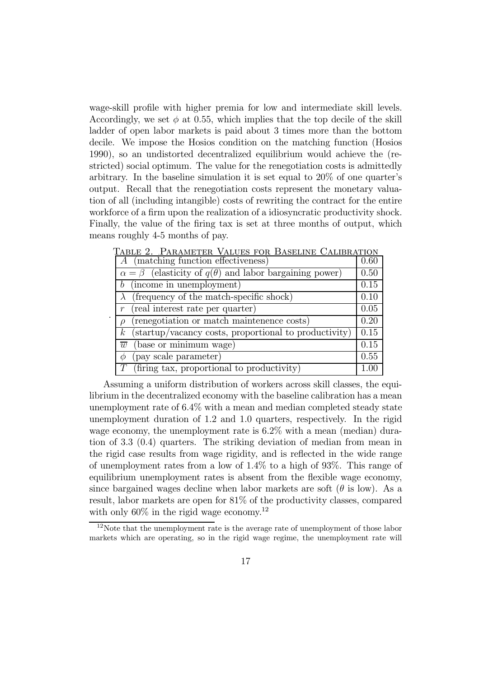wage-skill profile with higher premia for low and intermediate skill levels. Accordingly, we set  $\phi$  at 0.55, which implies that the top decile of the skill ladder of open labor markets is paid about 3 times more than the bottom decile. We impose the Hosios condition on the matching function (Hosios 1990), so an undistorted decentralized equilibrium would achieve the (restricted) social optimum. The value for the renegotiation costs is admittedly arbitrary. In the baseline simulation it is set equal to 20% of one quarter's output. Recall that the renegotiation costs represent the monetary valuation of all (including intangible) costs of rewriting the contract for the entire workforce of a firm upon the realization of a idiosyncratic productivity shock. Finally, the value of the firing tax is set at three months of output, which means roughly 4-5 months of pay.

| A (matching function effectiveness)                                     | 0.60 |
|-------------------------------------------------------------------------|------|
| $\alpha = \beta$ (elasticity of $q(\theta)$ and labor bargaining power) | 0.50 |
| $b$ (income in unemployment)                                            | 0.15 |
| $\lambda$ (frequency of the match-specific shock)                       | 0.10 |
| (real interest rate per quarter)                                        | 0.05 |
| (renegotiation or match maintenance costs)                              | 0.20 |
| $k$ (startup/vacancy costs, proportional to productivity)               | 0.15 |
| (base or minimum wage)<br>$\overline{w}$                                | 0.15 |
| (pay scale parameter)                                                   | 0.55 |
| (firing tax, proportional to productivity)                              |      |

.

Table 2. .Parameter Values for Baseline Calibration

Assuming a uniform distribution of workers across skill classes, the equilibrium in the decentralized economy with the baseline calibration has a mean unemployment rate of 6.4% with a mean and median completed steady state unemployment duration of 1.2 and 1.0 quarters, respectively. In the rigid wage economy, the unemployment rate is 6.2% with a mean (median) duration of 3.3 (0.4) quarters. The striking deviation of median from mean in the rigid case results from wage rigidity, and is reflected in the wide range of unemployment rates from a low of 1.4% to a high of 93%. This range of equilibrium unemployment rates is absent from the flexible wage economy, since bargained wages decline when labor markets are soft  $(\theta \text{ is low})$ . As a result, labor markets are open for 81% of the productivity classes, compared with only  $60\%$  in the rigid wage economy.<sup>12</sup>

<sup>&</sup>lt;sup>12</sup>Note that the unemployment rate is the average rate of unemployment of those labor markets which are operating, so in the rigid wage regime, the unemployment rate will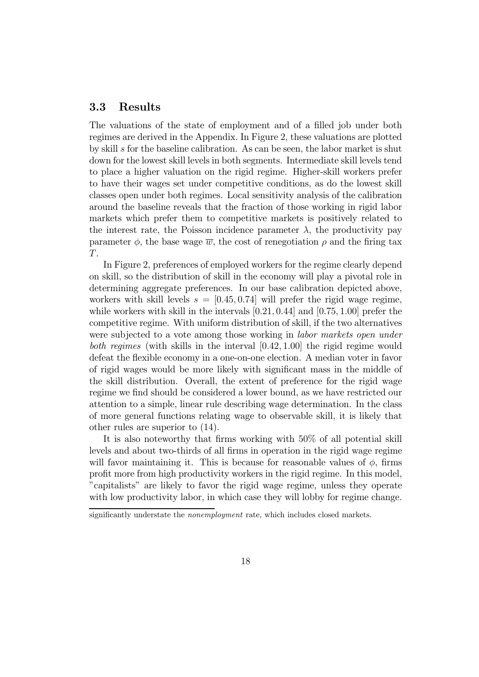#### 3.3 Results

The valuations of the state of employment and of a filled job under both regimes are derived in the Appendix. In Figure 2, these valuations are plotted by skill s for the baseline calibration. As can be seen, the labor market is shut down for the lowest skill levels in both segments. Intermediate skill levels tend to place a higher valuation on the rigid regime. Higher-skill workers prefer to have their wages set under competitive conditions, as do the lowest skill classes open under both regimes. Local sensitivity analysis of the calibration around the baseline reveals that the fraction of those working in rigid labor markets which prefer them to competitive markets is positively related to the interest rate, the Poisson incidence parameter  $\lambda$ , the productivity pay parameter  $\phi$ , the base wage  $\overline{w}$ , the cost of renegotiation  $\rho$  and the firing tax T.

In Figure 2, preferences of employed workers for the regime clearly depend on skill, so the distribution of skill in the economy will play a pivotal role in determining aggregate preferences. In our base calibration depicted above, workers with skill levels  $s = [0.45, 0.74]$  will prefer the rigid wage regime, while workers with skill in the intervals [0.21, 0.44] and [0.75, 1.00] prefer the competitive regime. With uniform distribution of skill, if the two alternatives were subjected to a vote among those working in *labor markets open under* both regimes (with skills in the interval [0.42, 1.00] the rigid regime would defeat the flexible economy in a one-on-one election. A median voter in favor of rigid wages would be more likely with significant mass in the middle of the skill distribution. Overall, the extent of preference for the rigid wage regime we find should be considered a lower bound, as we have restricted our attention to a simple, linear rule describing wage determination. In the class of more general functions relating wage to observable skill, it is likely that other rules are superior to (14).

It is also noteworthy that firms working with 50% of all potential skill levels and about two-thirds of all firms in operation in the rigid wage regime will favor maintaining it. This is because for reasonable values of  $\phi$ , firms profit more from high productivity workers in the rigid regime. In this model, "capitalists" are likely to favor the rigid wage regime, unless they operate with low productivity labor, in which case they will lobby for regime change.

significantly understate the *nonemployment* rate, which includes closed markets.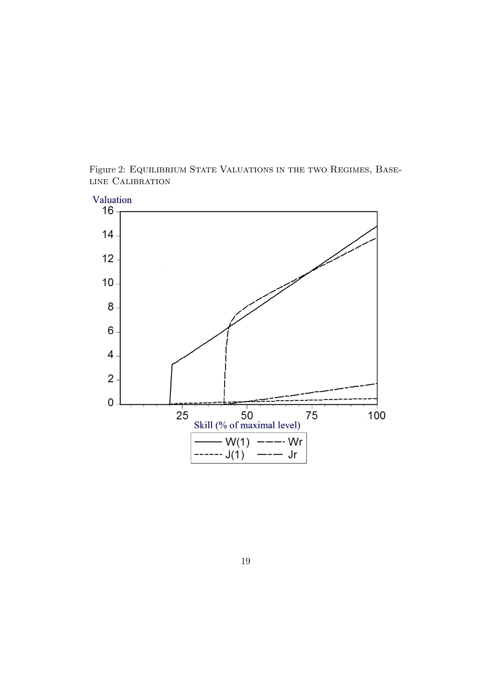

Figure 2: EQUILIBRIUM STATE VALUATIONS IN THE TWO REGIMES, BASEline Calibration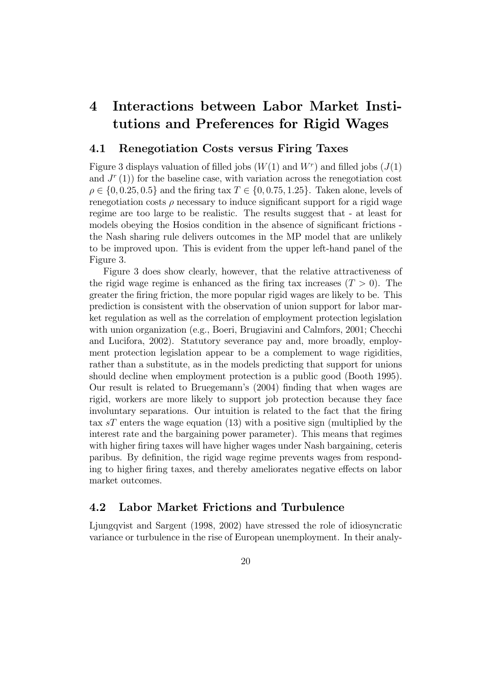## 4 Interactions between Labor Market Institutions and Preferences for Rigid Wages

#### 4.1 Renegotiation Costs versus Firing Taxes

Figure 3 displays valuation of filled jobs  $(W(1)$  and  $W<sup>r</sup>)$  and filled jobs  $(J(1)$ and  $J<sup>r</sup>(1)$  for the baseline case, with variation across the renegotiation cost  $\rho \in \{0, 0.25, 0.5\}$  and the firing tax  $T \in \{0, 0.75, 1.25\}$ . Taken alone, levels of renegotiation costs  $\rho$  necessary to induce significant support for a rigid wage regime are too large to be realistic. The results suggest that - at least for models obeying the Hosios condition in the absence of significant frictions the Nash sharing rule delivers outcomes in the MP model that are unlikely to be improved upon. This is evident from the upper left-hand panel of the Figure 3.

Figure 3 does show clearly, however, that the relative attractiveness of the rigid wage regime is enhanced as the firing tax increases  $(T > 0)$ . The greater the firing friction, the more popular rigid wages are likely to be. This prediction is consistent with the observation of union support for labor market regulation as well as the correlation of employment protection legislation with union organization (e.g., Boeri, Brugiavini and Calmfors, 2001; Checchi and Lucifora, 2002). Statutory severance pay and, more broadly, employment protection legislation appear to be a complement to wage rigidities, rather than a substitute, as in the models predicting that support for unions should decline when employment protection is a public good (Booth 1995). Our result is related to Bruegemann's (2004) finding that when wages are rigid, workers are more likely to support job protection because they face involuntary separations. Our intuition is related to the fact that the firing tax  $sT$  enters the wage equation (13) with a positive sign (multiplied by the interest rate and the bargaining power parameter). This means that regimes with higher firing taxes will have higher wages under Nash bargaining, ceteris paribus. By definition, the rigid wage regime prevents wages from responding to higher firing taxes, and thereby ameliorates negative effects on labor market outcomes.

#### 4.2 Labor Market Frictions and Turbulence

Ljungqvist and Sargent (1998, 2002) have stressed the role of idiosyncratic variance or turbulence in the rise of European unemployment. In their analy-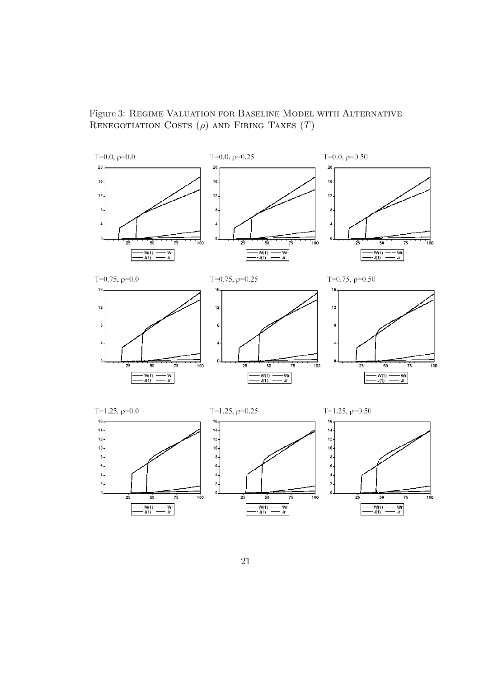Figure 3: Regime Valuation for Baseline Model with Alternative RENEGOTIATION COSTS  $(\rho)$  and Firing Taxes  $(T)$ 

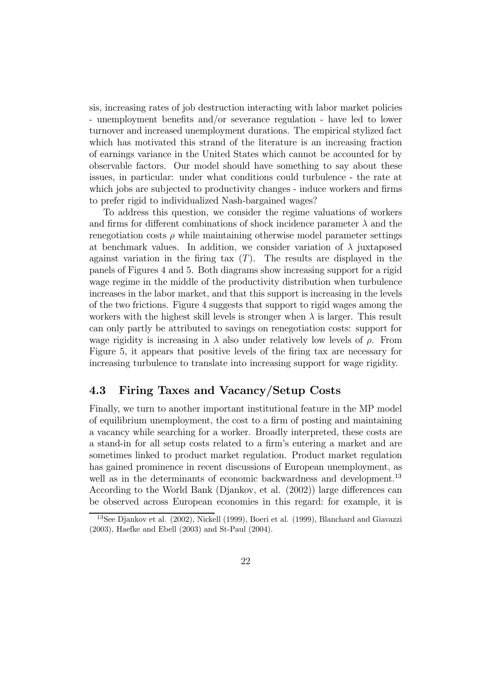sis, increasing rates of job destruction interacting with labor market policies - unemployment benefits and/or severance regulation - have led to lower turnover and increased unemployment durations. The empirical stylized fact which has motivated this strand of the literature is an increasing fraction of earnings variance in the United States which cannot be accounted for by observable factors. Our model should have something to say about these issues, in particular: under what conditions could turbulence - the rate at which jobs are subjected to productivity changes - induce workers and firms to prefer rigid to individualized Nash-bargained wages?

To address this question, we consider the regime valuations of workers and firms for different combinations of shock incidence parameter  $\lambda$  and the renegotiation costs  $\rho$  while maintaining otherwise model parameter settings at benchmark values. In addition, we consider variation of  $\lambda$  juxtaposed against variation in the firing tax  $(T)$ . The results are displayed in the panels of Figures 4 and 5. Both diagrams show increasing support for a rigid wage regime in the middle of the productivity distribution when turbulence increases in the labor market, and that this support is increasing in the levels of the two frictions. Figure 4 suggests that support to rigid wages among the workers with the highest skill levels is stronger when  $\lambda$  is larger. This result can only partly be attributed to savings on renegotiation costs: support for wage rigidity is increasing in  $\lambda$  also under relatively low levels of  $\rho$ . From Figure 5, it appears that positive levels of the firing tax are necessary for increasing turbulence to translate into increasing support for wage rigidity.

#### 4.3 Firing Taxes and Vacancy/Setup Costs

Finally, we turn to another important institutional feature in the MP model of equilibrium unemployment, the cost to a firm of posting and maintaining a vacancy while searching for a worker. Broadly interpreted, these costs are a stand-in for all setup costs related to a firm's entering a market and are sometimes linked to product market regulation. Product market regulation has gained prominence in recent discussions of European unemployment, as well as in the determinants of economic backwardness and development.<sup>13</sup> According to the World Bank (Djankov, et al. (2002)) large differences can be observed across European economies in this regard: for example, it is

<sup>13</sup>See Djankov et al. (2002), Nickell (1999), Boeri et al. (1999), Blanchard and Giavazzi (2003), Haefke and Ebell (2003) and St-Paul (2004).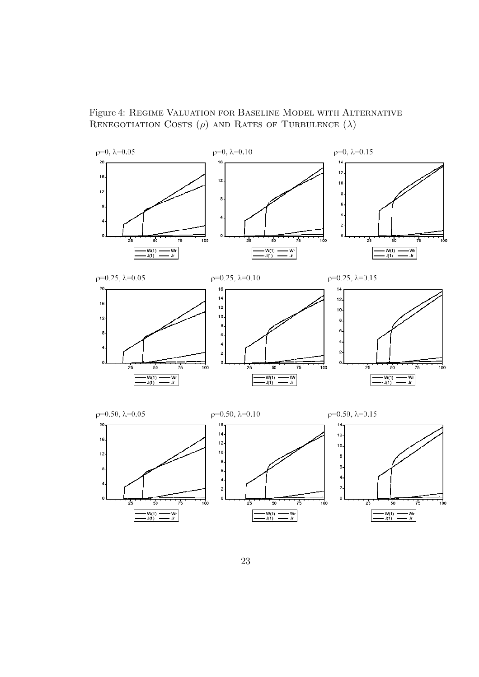

Figure 4: Regime Valuation for Baseline Model with Alternative RENEGOTIATION COSTS  $(\rho)$  and RATES OF TURBULENCE  $(\lambda)$ 

 $25$ 

 $\overline{\mathbf{c}}$  $\mathbf 0$  .

ᇟ

 $\frac{1}{75}$ 

50

 $-W(1)$   $-Wr$ <br> $-J(1)$   $\frac{Wr}{dr}$ 

 $\Omega$ 

- 7

 $\overline{\mathbf{c}}$ 

 $\mathfrak{o}$ 

 $100$ 

 $2<sub>5</sub>$ 

 $50$ 

 $\frac{-W(1)}{J(1)}$   $\frac{-}{\ }$ 

 $75$ 

— Wr<br>— Jr

 $\frac{1}{75}$ 

— Wr<br>— Jr

 $50$ 

 $-W(1) =$ <br> $-V(1) =$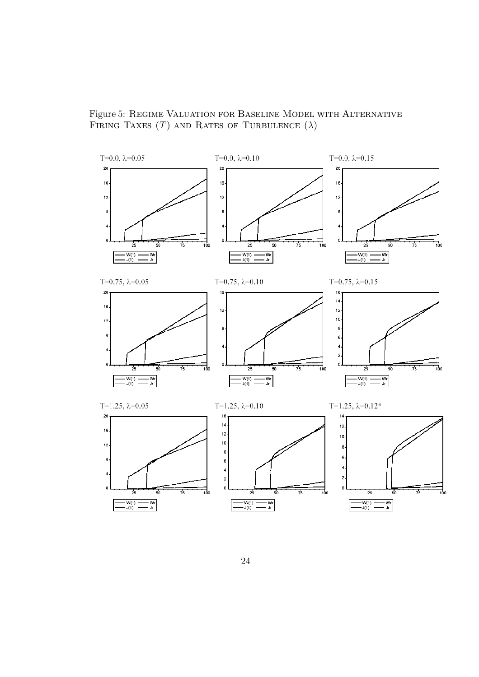Figure 5: Regime Valuation for Baseline Model with Alternative FIRING TAXES (T) AND RATES OF TURBULENCE  $(\lambda)$ 

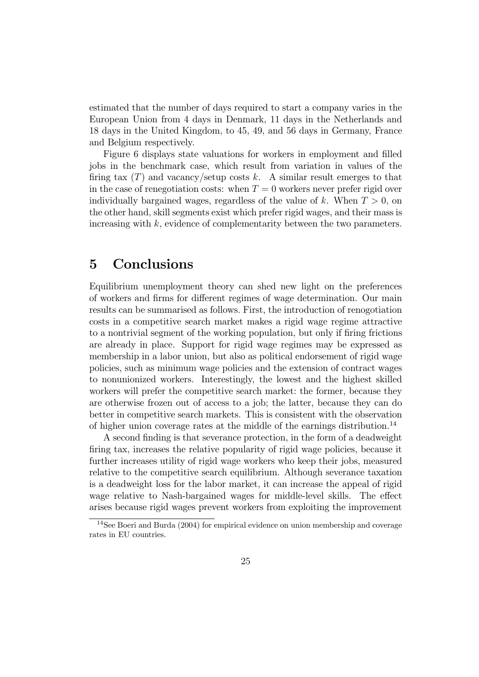estimated that the number of days required to start a company varies in the European Union from 4 days in Denmark, 11 days in the Netherlands and 18 days in the United Kingdom, to 45, 49, and 56 days in Germany, France and Belgium respectively.

Figure 6 displays state valuations for workers in employment and filled jobs in the benchmark case, which result from variation in values of the firing tax  $(T)$  and vacancy/setup costs k. A similar result emerges to that in the case of renegotiation costs: when  $T = 0$  workers never prefer rigid over individually bargained wages, regardless of the value of k. When  $T > 0$ , on the other hand, skill segments exist which prefer rigid wages, and their mass is increasing with k, evidence of complementarity between the two parameters.

## 5 Conclusions

Equilibrium unemployment theory can shed new light on the preferences of workers and firms for different regimes of wage determination. Our main results can be summarised as follows. First, the introduction of renogotiation costs in a competitive search market makes a rigid wage regime attractive to a nontrivial segment of the working population, but only if firing frictions are already in place. Support for rigid wage regimes may be expressed as membership in a labor union, but also as political endorsement of rigid wage policies, such as minimum wage policies and the extension of contract wages to nonunionized workers. Interestingly, the lowest and the highest skilled workers will prefer the competitive search market: the former, because they are otherwise frozen out of access to a job; the latter, because they can do better in competitive search markets. This is consistent with the observation of higher union coverage rates at the middle of the earnings distribution.<sup>14</sup>

A second finding is that severance protection, in the form of a deadweight firing tax, increases the relative popularity of rigid wage policies, because it further increases utility of rigid wage workers who keep their jobs, measured relative to the competitive search equilibrium. Although severance taxation is a deadweight loss for the labor market, it can increase the appeal of rigid wage relative to Nash-bargained wages for middle-level skills. The effect arises because rigid wages prevent workers from exploiting the improvement

<sup>14</sup>See Boeri and Burda (2004) for empirical evidence on union membership and coverage rates in EU countries.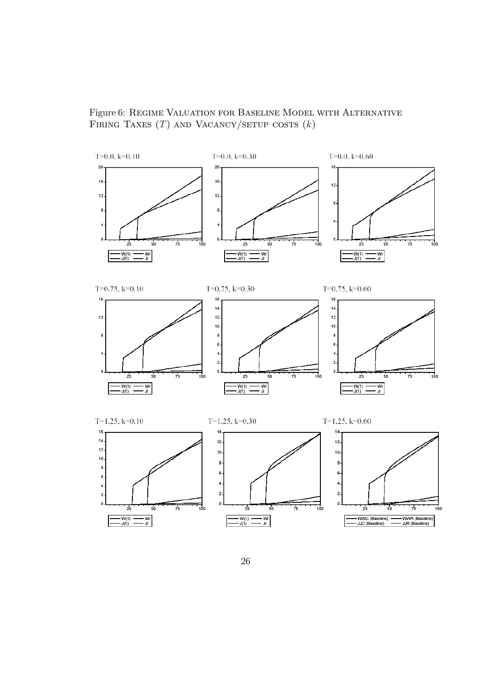Figure 6: Regime Valuation for Baseline Model with Alternative FIRING TAXES  $(T)$  and Vacancy/setup costs  $(k)$ 

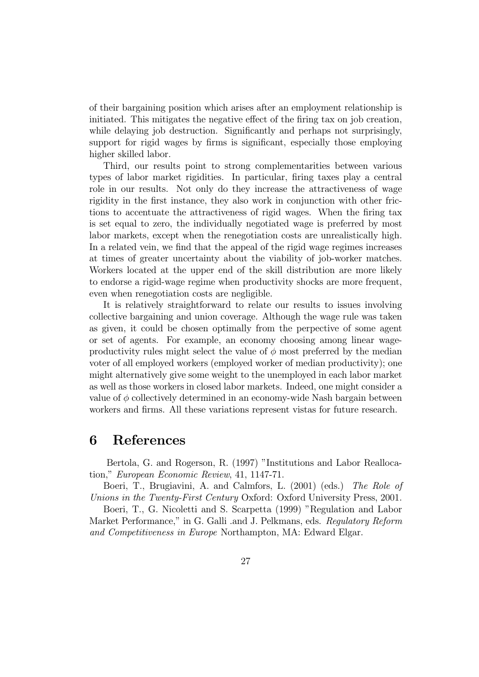of their bargaining position which arises after an employment relationship is initiated. This mitigates the negative effect of the firing tax on job creation, while delaying job destruction. Significantly and perhaps not surprisingly, support for rigid wages by firms is significant, especially those employing higher skilled labor.

Third, our results point to strong complementarities between various types of labor market rigidities. In particular, firing taxes play a central role in our results. Not only do they increase the attractiveness of wage rigidity in the first instance, they also work in conjunction with other frictions to accentuate the attractiveness of rigid wages. When the firing tax is set equal to zero, the individually negotiated wage is preferred by most labor markets, except when the renegotiation costs are unrealistically high. In a related vein, we find that the appeal of the rigid wage regimes increases at times of greater uncertainty about the viability of job-worker matches. Workers located at the upper end of the skill distribution are more likely to endorse a rigid-wage regime when productivity shocks are more frequent, even when renegotiation costs are negligible.

It is relatively straightforward to relate our results to issues involving collective bargaining and union coverage. Although the wage rule was taken as given, it could be chosen optimally from the perpective of some agent or set of agents. For example, an economy choosing among linear wageproductivity rules might select the value of  $\phi$  most preferred by the median voter of all employed workers (employed worker of median productivity); one might alternatively give some weight to the unemployed in each labor market as well as those workers in closed labor markets. Indeed, one might consider a value of  $\phi$  collectively determined in an economy-wide Nash bargain between workers and firms. All these variations represent vistas for future research.

## 6 References

Bertola, G. and Rogerson, R. (1997) "Institutions and Labor Reallocation," European Economic Review, 41, 1147-71.

Boeri, T., Brugiavini, A. and Calmfors, L. (2001) (eds.) The Role of Unions in the Twenty-First Century Oxford: Oxford University Press, 2001.

Boeri, T., G. Nicoletti and S. Scarpetta (1999) "Regulation and Labor Market Performance," in G. Galli .and J. Pelkmans, eds. Regulatory Reform and Competitiveness in Europe Northampton, MA: Edward Elgar.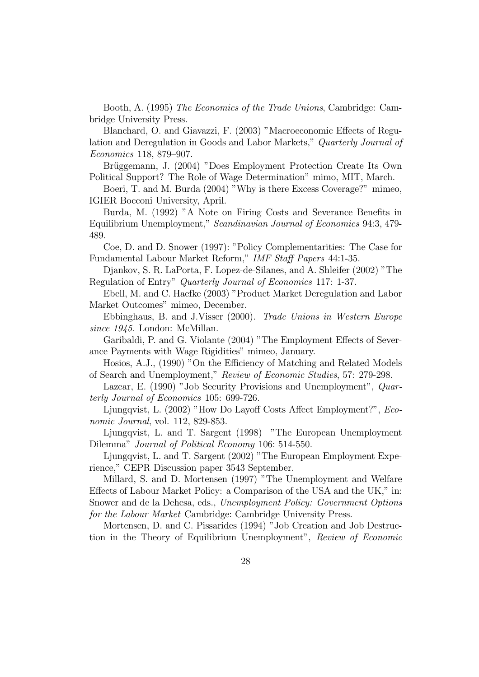Booth, A. (1995) The Economics of the Trade Unions, Cambridge: Cambridge University Press.

Blanchard, O. and Giavazzi, F. (2003) "Macroeconomic Effects of Regulation and Deregulation in Goods and Labor Markets," Quarterly Journal of Economics 118, 879—907.

Brüggemann, J. (2004) "Does Employment Protection Create Its Own Political Support? The Role of Wage Determination" mimo, MIT, March.

Boeri, T. and M. Burda (2004) "Why is there Excess Coverage?" mimeo, IGIER Bocconi University, April.

Burda, M. (1992) "A Note on Firing Costs and Severance Benefits in Equilibrium Unemployment," Scandinavian Journal of Economics 94:3, 479- 489.

Coe, D. and D. Snower (1997): "Policy Complementarities: The Case for Fundamental Labour Market Reform," IMF Staff Papers 44:1-35.

Djankov, S. R. LaPorta, F. Lopez-de-Silanes, and A. Shleifer (2002) "The Regulation of Entry" Quarterly Journal of Economics 117: 1-37.

Ebell, M. and C. Haefke (2003) "Product Market Deregulation and Labor Market Outcomes" mimeo, December.

Ebbinghaus, B. and J.Visser (2000). Trade Unions in Western Europe since 1945. London: McMillan.

Garibaldi, P. and G. Violante (2004) "The Employment Effects of Severance Payments with Wage Rigidities" mimeo, January.

Hosios, A.J., (1990) "On the Efficiency of Matching and Related Models of Search and Unemployment," Review of Economic Studies, 57: 279-298.

Lazear, E. (1990) "Job Security Provisions and Unemployment", *Quar*terly Journal of Economics 105: 699-726.

Ljungqvist, L. (2002) "How Do Layoff Costs Affect Employment?", Economic Journal, vol. 112, 829-853.

Ljungqvist, L. and T. Sargent (1998) "The European Unemployment Dilemma" Journal of Political Economy 106: 514-550.

Ljungqvist, L. and T. Sargent (2002) "The European Employment Experience," CEPR Discussion paper 3543 September.

Millard, S. and D. Mortensen (1997) "The Unemployment and Welfare Effects of Labour Market Policy: a Comparison of the USA and the UK," in: Snower and de la Dehesa, eds., Unemployment Policy: Government Options for the Labour Market Cambridge: Cambridge University Press.

Mortensen, D. and C. Pissarides (1994) "Job Creation and Job Destruction in the Theory of Equilibrium Unemployment", Review of Economic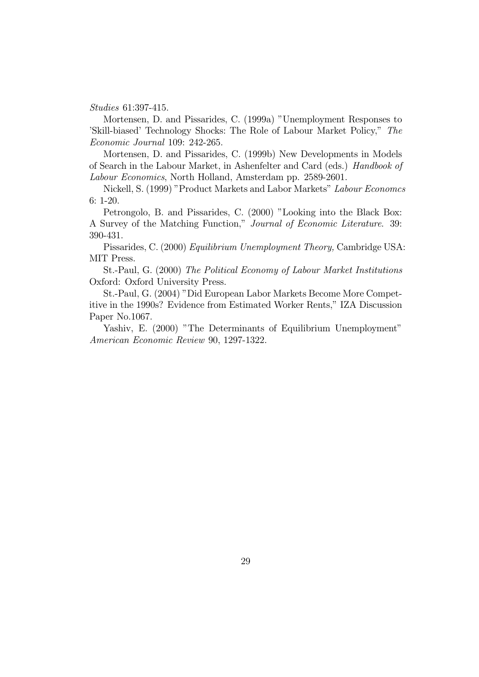Studies 61:397-415.

Mortensen, D. and Pissarides, C. (1999a) "Unemployment Responses to 'Skill-biased' Technology Shocks: The Role of Labour Market Policy," The Economic Journal 109: 242-265.

Mortensen, D. and Pissarides, C. (1999b) New Developments in Models of Search in the Labour Market, in Ashenfelter and Card (eds.) Handbook of Labour Economics, North Holland, Amsterdam pp. 2589-2601.

Nickell, S. (1999) "Product Markets and Labor Markets" Labour Economcs 6: 1-20.

Petrongolo, B. and Pissarides, C. (2000) "Looking into the Black Box: A Survey of the Matching Function," Journal of Economic Literature. 39: 390-431.

Pissarides, C. (2000) Equilibrium Unemployment Theory, Cambridge USA: MIT Press.

St.-Paul, G. (2000) The Political Economy of Labour Market Institutions Oxford: Oxford University Press.

St.-Paul, G. (2004) "Did European Labor Markets Become More Competitive in the 1990s? Evidence from Estimated Worker Rents," IZA Discussion Paper No.1067.

Yashiv, E. (2000) "The Determinants of Equilibrium Unemployment" American Economic Review 90, 1297-1322.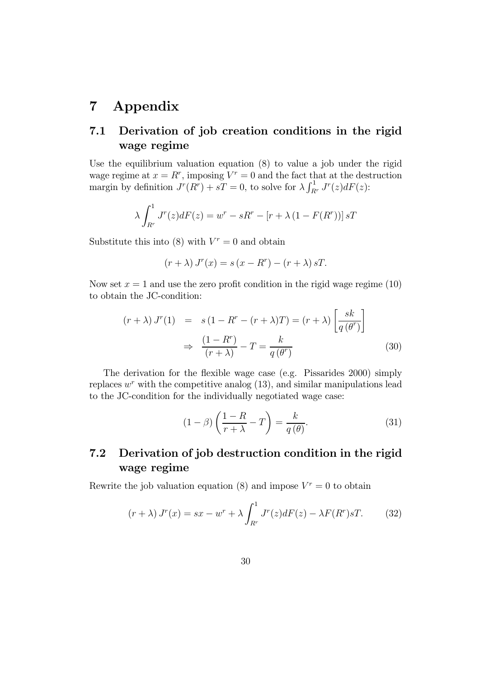## 7 Appendix

### 7.1 Derivation of job creation conditions in the rigid wage regime

Use the equilibrium valuation equation (8) to value a job under the rigid wage regime at  $x = R^r$ , imposing  $V^r = 0$  and the fact that at the destruction margin by definition  $J^r(R^r) + sT = 0$ , to solve for  $\lambda \int_{R^r}^1 J^r(z) dF(z)$ :

$$
\lambda \int_{R^r}^1 J^r(z)dF(z) = w^r - sR^r - [r + \lambda (1 - F(R^r))]sT
$$

Substitute this into (8) with  $V<sup>r</sup> = 0$  and obtain

$$
(r + \lambda) Jr(x) = s (x - Rr) - (r + \lambda) sT.
$$

Now set  $x = 1$  and use the zero profit condition in the rigid wage regime (10) to obtain the JC-condition:

$$
(r + \lambda) J^{r}(1) = s (1 - R^{r} - (r + \lambda)T) = (r + \lambda) \left[ \frac{sk}{q(\theta^{r})} \right]
$$

$$
\Rightarrow \frac{(1 - R^{r})}{(r + \lambda)} - T = \frac{k}{q(\theta^{r})}
$$
(30)

The derivation for the flexible wage case (e.g. Pissarides 2000) simply replaces  $w<sup>r</sup>$  with the competitive analog (13), and similar manipulations lead to the JC-condition for the individually negotiated wage case:

$$
(1 - \beta) \left(\frac{1 - R}{r + \lambda} - T\right) = \frac{k}{q(\theta)}.
$$
\n(31)

### 7.2 Derivation of job destruction condition in the rigid wage regime

Rewrite the job valuation equation (8) and impose  $V^r = 0$  to obtain

$$
(r + \lambda) Jr(x) = sx - wr + \lambda \int_{Rr}^{1} Jr(z) dF(z) - \lambda F(Rr) sT.
$$
 (32)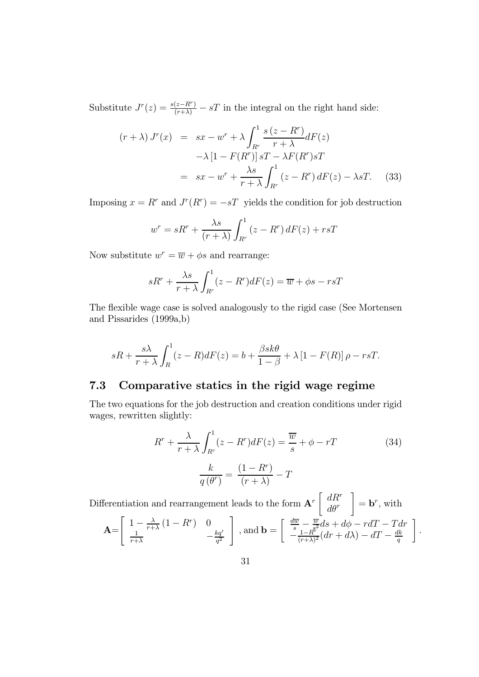Substitute  $J^r(z) = \frac{s(z - R^r)}{(r + \lambda)} - sT$  in the integral on the right hand side:

$$
(r + \lambda) J^{r}(x) = sx - w^{r} + \lambda \int_{R^{r}}^{1} \frac{s (z - R^{r})}{r + \lambda} dF(z)
$$

$$
- \lambda [1 - F(R^{r})] sT - \lambda F(R^{r}) sT
$$

$$
= sx - w^{r} + \frac{\lambda s}{r + \lambda} \int_{R^{r}}^{1} (z - R^{r}) dF(z) - \lambda sT. \tag{33}
$$

Imposing  $x = R^r$  and  $J^r(R^r) = -sT$  yields the condition for job destruction

$$
w^{r} = sR^{r} + \frac{\lambda s}{(r+\lambda)} \int_{R^{r}}^{1} (z - R^{r}) dF(z) + rsT
$$

Now substitute  $w^r = \overline{w} + \phi s$  and rearrange:

$$
sR^{r} + \frac{\lambda s}{r + \lambda} \int_{R^{r}}^{1} (z - R^{r}) dF(z) = \overline{w} + \phi s - rsT
$$

The flexible wage case is solved analogously to the rigid case (See Mortensen and Pissarides (1999a,b)

$$
sR + \frac{s\lambda}{r+\lambda} \int_{R}^{1} (z-R)dF(z) = b + \frac{\beta sk\theta}{1-\beta} + \lambda \left[1 - F(R)\right]\rho - rsT.
$$

### 7.3 Comparative statics in the rigid wage regime

The two equations for the job destruction and creation conditions under rigid wages, rewritten slightly:

$$
R^{r} + \frac{\lambda}{r + \lambda} \int_{R^{r}}^{1} (z - R^{r}) dF(z) = \frac{\overline{w}}{s} + \phi - rT
$$
\n
$$
\frac{k}{q(\theta^{r})} = \frac{(1 - R^{r})}{(r + \lambda)} - T
$$
\n(34)

Differentiation and rearrangement leads to the form  $A^r \left[ \begin{array}{c} dR^r \\ d\rho^r \end{array} \right]$  $d\theta^r$ ¸  $=$  **b**<sup>r</sup>, with

$$
\mathbf{A} = \begin{bmatrix} 1 - \frac{\lambda}{r + \lambda} (1 - R^r) & 0 \\ \frac{1}{r + \lambda} & -\frac{kq'}{q^2} \end{bmatrix}, \text{ and } \mathbf{b} = \begin{bmatrix} \frac{d\overline{w}}{s} - \frac{\overline{w}}{s^2} ds + d\phi - r dT - T dr \\ -\frac{1 - R^r}{(r + \lambda)^2} (dr + d\lambda) - dT - \frac{dk}{q} \end{bmatrix}.
$$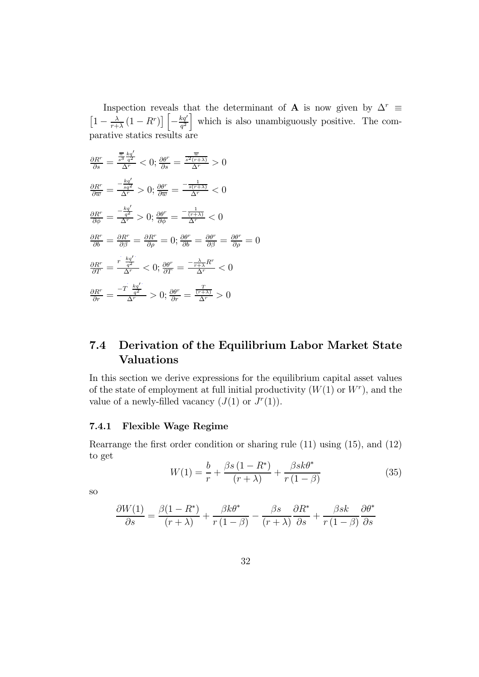Inspection reveals that the determinant of **A** is now given by  $\Delta^r$  ≡  $\left[1-\frac{\lambda}{r+\lambda}\left(1-R^r\right)\right]\left[-\frac{kq'}{q^2}\right]$ which is also unambiguously positive. The comparative statics results are

$$
\frac{\partial R^r}{\partial s} = \frac{\frac{\overline{w}}{s^3} \frac{kq'}{q^2}}{\Delta^r} < 0; \frac{\partial \theta^r}{\partial s} = \frac{\frac{\overline{w}}{s^2(r+\lambda)}}{\Delta^r} > 0
$$
\n
$$
\frac{\partial R^r}{\partial \overline{w}} = \frac{-\frac{kq'}{sq'}}{\Delta^r} > 0; \frac{\partial \theta^r}{\partial \overline{w}} = \frac{-\frac{1}{s(r+\lambda)}}{\Delta^r} < 0
$$
\n
$$
\frac{\partial R^r}{\partial \phi} = \frac{-\frac{kq'}{q^2}}{\Delta^r} > 0; \frac{\partial \theta^r}{\partial \phi} = \frac{-\frac{1}{(r+\lambda)}}{\Delta^r} < 0
$$
\n
$$
\frac{\partial R^r}{\partial b} = \frac{\partial R^r}{\partial \beta} = \frac{\partial R^r}{\partial \rho} = 0; \frac{\partial \theta^r}{\partial b} = \frac{\partial \theta^r}{\partial \beta} = \frac{\partial \theta^r}{\partial \rho} = 0
$$
\n
$$
\frac{\partial R^r}{\partial T} = \frac{r}{\Delta^r} \frac{kq'}{\Delta^r} < 0; \frac{\partial \theta^r}{\partial T} = \frac{-\frac{\lambda}{r+\lambda}}{\Delta^r} \frac{R^r}{\Delta^r} < 0
$$
\n
$$
\frac{\partial R^r}{\partial r} = \frac{-T}{\Delta^r} \frac{kq'}{\Delta^r} > 0; \frac{\partial \theta^r}{\partial r} = \frac{\frac{T}{(r+\lambda)}}{\Delta^r} > 0
$$

## 7.4 Derivation of the Equilibrium Labor Market State Valuations

In this section we derive expressions for the equilibrium capital asset values of the state of employment at full initial productivity  $(W(1)$  or  $W<sup>r</sup>)$ , and the value of a newly-filled vacancy  $(J(1)$  or  $J^r(1)$ .

#### 7.4.1 Flexible Wage Regime

Rearrange the first order condition or sharing rule (11) using (15), and (12) to get

$$
W(1) = \frac{b}{r} + \frac{\beta s (1 - R^*)}{(r + \lambda)} + \frac{\beta s k \theta^*}{r (1 - \beta)}
$$
(35)

so

$$
\frac{\partial W(1)}{\partial s} = \frac{\beta(1 - R^*)}{(r + \lambda)} + \frac{\beta k \theta^*}{r(1 - \beta)} - \frac{\beta s}{(r + \lambda)} \frac{\partial R^*}{\partial s} + \frac{\beta s k}{r(1 - \beta)} \frac{\partial \theta^*}{\partial s}
$$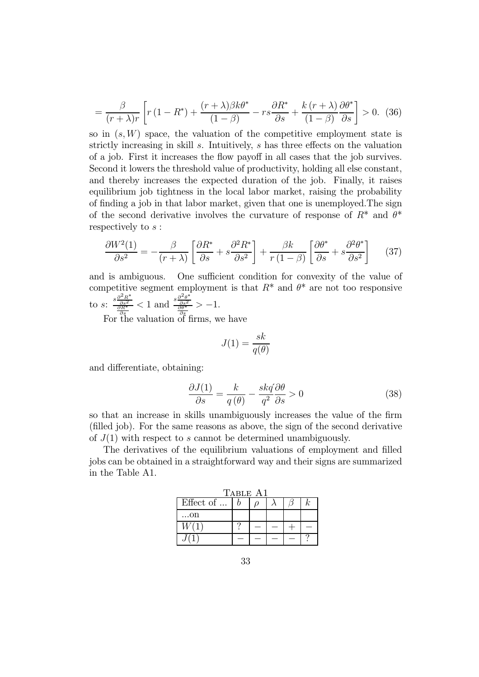$$
= \frac{\beta}{(r+\lambda)r} \left[ r(1-R^*) + \frac{(r+\lambda)\beta k\theta^*}{(1-\beta)} - rs\frac{\partial R^*}{\partial s} + \frac{k(r+\lambda)}{(1-\beta)}\frac{\partial \theta^*}{\partial s} \right] > 0. \tag{36}
$$

so in  $(s, W)$  space, the valuation of the competitive employment state is strictly increasing in skill s. Intuitively, s has three effects on the valuation of a job. First it increases the flow payoff in all cases that the job survives. Second it lowers the threshold value of productivity, holding all else constant, and thereby increases the expected duration of the job. Finally, it raises equilibrium job tightness in the local labor market, raising the probability of finding a job in that labor market, given that one is unemployed.The sign of the second derivative involves the curvature of response of  $R^*$  and  $\theta^*$ respectively to s :

$$
\frac{\partial W^2(1)}{\partial s^2} = -\frac{\beta}{(r+\lambda)} \left[ \frac{\partial R^*}{\partial s} + s \frac{\partial^2 R^*}{\partial s^2} \right] + \frac{\beta k}{r(1-\beta)} \left[ \frac{\partial \theta^*}{\partial s} + s \frac{\partial^2 \theta^*}{\partial s^2} \right] \tag{37}
$$

and is ambiguous. One sufficient condition for convexity of the value of competitive segment employment is that  $R^*$  and  $\theta^*$  are not too responsive to s:  $\frac{s\frac{\partial^2 R^*}{\partial s^2}}{\frac{\partial R^*}{\partial s}} < 1$  and  $\frac{s\frac{\partial^2 \theta^*}{\partial s^2}}{\frac{\partial \theta^*}{\partial s}} > -1$ .

For the valuation of firms, we have

$$
J(1) = \frac{sk}{q(\theta)}
$$

and differentiate, obtaining:

$$
\frac{\partial J(1)}{\partial s} = \frac{k}{q(\theta)} - \frac{skq(\theta)}{q^2} \frac{\partial \theta}{\partial s} > 0
$$
\n(38)

so that an increase in skills unambiguously increases the value of the firm (filled job). For the same reasons as above, the sign of the second derivative of  $J(1)$  with respect to s cannot be determined unambiguously.

The derivatives of the equilibrium valuations of employment and filled jobs can be obtained in a straightforward way and their signs are summarized in the Table A1.

| Table A1  |  |  |  |  |    |  |
|-----------|--|--|--|--|----|--|
| Effect of |  |  |  |  | k. |  |
| . on      |  |  |  |  |    |  |
|           |  |  |  |  |    |  |
|           |  |  |  |  |    |  |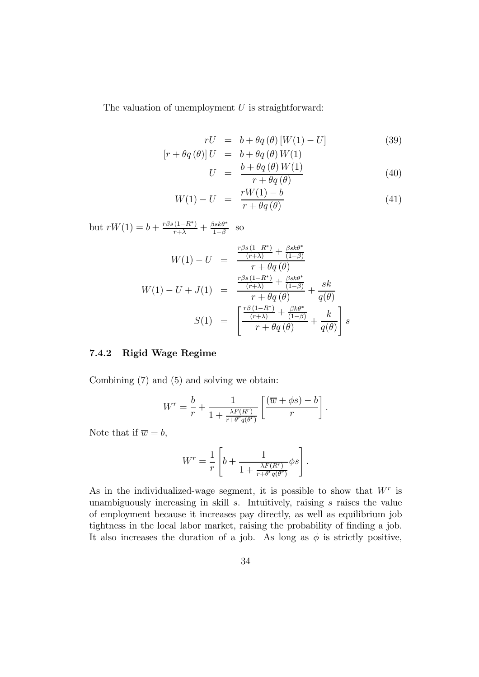The valuation of unemployment  $U$  is straightforward:

$$
rU = b + \theta q(\theta) [W(1) - U] \tag{39}
$$

$$
[r + \theta q(\theta)]U = b + \theta q(\theta)W(1)
$$
  

$$
U = \frac{b + \theta q(\theta)W(1)}{r + \theta q(\theta)}
$$
(40)

$$
W(1) - U = \frac{rW(1) - b}{r + \theta q(\theta)}
$$
(41)

but  $rW(1) = b + \frac{r\beta s(1-R^*)}{r+\lambda} + \frac{\beta sk\theta^*}{1-\beta}$  so

$$
W(1) - U = \frac{\frac{r\beta s (1 - R^*)}{(r + \lambda)} + \frac{\beta s k \theta^*}{(1 - \beta)}}{r + \theta q(\theta)}
$$

$$
W(1) - U + J(1) = \frac{\frac{r\beta s (1 - R^*)}{(r + \lambda)} + \frac{\beta s k \theta^*}{(1 - \beta)}}{r + \theta q(\theta)} + \frac{sk}{q(\theta)}
$$

$$
S(1) = \left[\frac{\frac{r\beta (1 - R^*)}{(r + \lambda)} + \frac{\beta k \theta^*}{(1 - \beta)}}{r + \theta q(\theta)} + \frac{k}{q(\theta)}\right]s
$$

#### 7.4.2 Rigid Wage Regime

Combining (7) and (5) and solving we obtain:

$$
W^{r} = \frac{b}{r} + \frac{1}{1 + \frac{\lambda F(R^{r})}{r + \theta^{r} q(\theta^{r})}} \left[ \frac{(\overline{w} + \phi s) - b}{r} \right].
$$

Note that if  $\overline{w} = b$ ,

$$
W^{r} = \frac{1}{r} \left[ b + \frac{1}{1 + \frac{\lambda F(R^{r})}{r + \theta^{r} q(\theta^{r})}} \phi s \right].
$$

As in the individualized-wage segment, it is possible to show that  $W<sup>r</sup>$  is unambiguously increasing in skill  $s$ . Intuitively, raising  $s$  raises the value of employment because it increases pay directly, as well as equilibrium job tightness in the local labor market, raising the probability of finding a job. It also increases the duration of a job. As long as  $\phi$  is strictly positive,